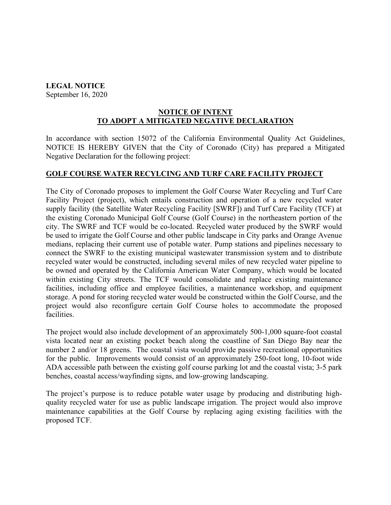## **LEGAL NOTICE**

September 16, 2020

## **NOTICE OF INTENT TO ADOPT A MITIGATED NEGATIVE DECLARATION**

In accordance with section 15072 of the California Environmental Quality Act Guidelines, NOTICE IS HEREBY GIVEN that the City of Coronado (City) has prepared a Mitigated Negative Declaration for the following project:

## **GOLF COURSE WATER RECYLCING AND TURF CARE FACILITY PROJECT**

The City of Coronado proposes to implement the Golf Course Water Recycling and Turf Care Facility Project (project), which entails construction and operation of a new recycled water supply facility (the Satellite Water Recycling Facility [SWRF]) and Turf Care Facility (TCF) at the existing Coronado Municipal Golf Course (Golf Course) in the northeastern portion of the city. The SWRF and TCF would be co-located. Recycled water produced by the SWRF would be used to irrigate the Golf Course and other public landscape in City parks and Orange Avenue medians, replacing their current use of potable water. Pump stations and pipelines necessary to connect the SWRF to the existing municipal wastewater transmission system and to distribute recycled water would be constructed, including several miles of new recycled water pipeline to be owned and operated by the California American Water Company, which would be located within existing City streets. The TCF would consolidate and replace existing maintenance facilities, including office and employee facilities, a maintenance workshop, and equipment storage. A pond for storing recycled water would be constructed within the Golf Course, and the project would also reconfigure certain Golf Course holes to accommodate the proposed facilities.

The project would also include development of an approximately 500-1,000 square-foot coastal vista located near an existing pocket beach along the coastline of San Diego Bay near the number 2 and/or 18 greens. The coastal vista would provide passive recreational opportunities for the public. Improvements would consist of an approximately 250-foot long, 10-foot wide ADA accessible path between the existing golf course parking lot and the coastal vista; 3-5 park benches, coastal access/wayfinding signs, and low-growing landscaping.

The project's purpose is to reduce potable water usage by producing and distributing highquality recycled water for use as public landscape irrigation. The project would also improve maintenance capabilities at the Golf Course by replacing aging existing facilities with the proposed TCF.